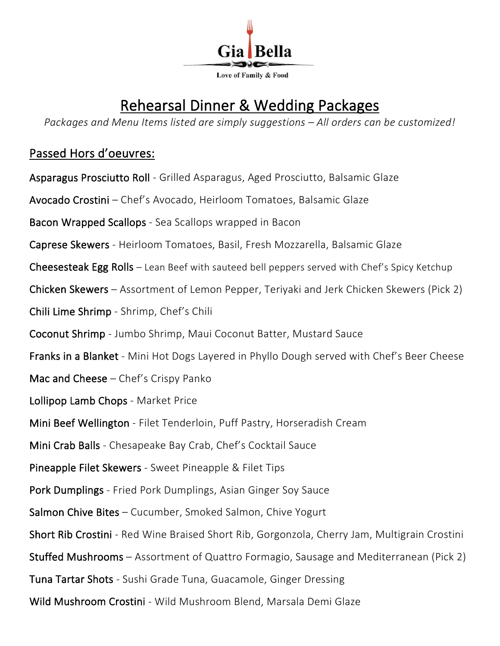

# Rehearsal Dinner & Wedding Packages

*Packages and Menu Items listed are simply suggestions – All orders can be customized!* 

### Passed Hors d'oeuvres:

Asparagus Prosciutto Roll - Grilled Asparagus, Aged Prosciutto, Balsamic Glaze Avocado Crostini – Chef's Avocado, Heirloom Tomatoes, Balsamic Glaze Bacon Wrapped Scallops - Sea Scallops wrapped in Bacon Caprese Skewers - Heirloom Tomatoes, Basil, Fresh Mozzarella, Balsamic Glaze Cheesesteak Egg Rolls – Lean Beef with sauteed bell peppers served with Chef's Spicy Ketchup Chicken Skewers – Assortment of Lemon Pepper, Teriyaki and Jerk Chicken Skewers (Pick 2) Chili Lime Shrimp - Shrimp, Chef's Chili Coconut Shrimp - Jumbo Shrimp, Maui Coconut Batter, Mustard Sauce Franks in a Blanket - Mini Hot Dogs Layered in Phyllo Dough served with Chef's Beer Cheese Mac and Cheese – Chef's Crispy Panko Lollipop Lamb Chops - Market Price Mini Beef Wellington - Filet Tenderloin, Puff Pastry, Horseradish Cream Mini Crab Balls - Chesapeake Bay Crab, Chef's Cocktail Sauce Pineapple Filet Skewers - Sweet Pineapple & Filet Tips Pork Dumplings - Fried Pork Dumplings, Asian Ginger Soy Sauce Salmon Chive Bites – Cucumber, Smoked Salmon, Chive Yogurt Short Rib Crostini - Red Wine Braised Short Rib, Gorgonzola, Cherry Jam, Multigrain Crostini Stuffed Mushrooms – Assortment of Quattro Formagio, Sausage and Mediterranean (Pick 2) Tuna Tartar Shots - Sushi Grade Tuna, Guacamole, Ginger Dressing Wild Mushroom Crostini - Wild Mushroom Blend, Marsala Demi Glaze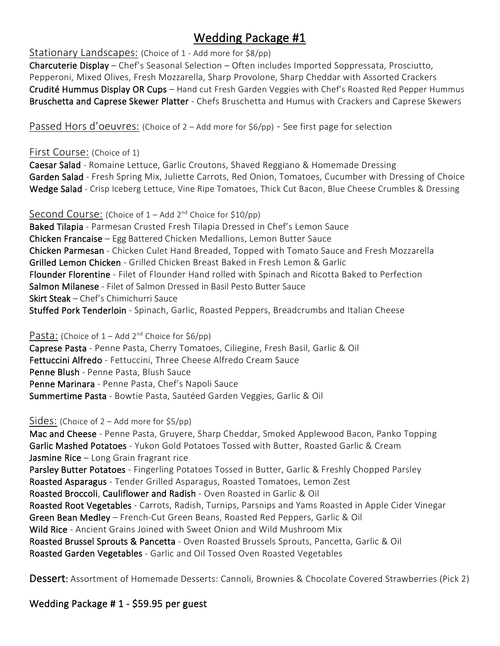# Wedding Package #1

Stationary Landscapes: (Choice of 1 - Add more for \$8/pp)

Charcuterie Display – Chef's Seasonal Selection – Often includes Imported Soppressata, Prosciutto, Pepperoni, Mixed Olives, Fresh Mozzarella, Sharp Provolone, Sharp Cheddar with Assorted Crackers Crudité Hummus Display OR Cups – Hand cut Fresh Garden Veggies with Chef's Roasted Red Pepper Hummus Bruschetta and Caprese Skewer Platter - Chefs Bruschetta and Humus with Crackers and Caprese Skewers

Passed Hors d'oeuvres: (Choice of 2 – Add more for \$6/pp) - See first page for selection

### First Course: (Choice of 1)

Caesar Salad - Romaine Lettuce, Garlic Croutons, Shaved Reggiano & Homemade Dressing Garden Salad - Fresh Spring Mix, Juliette Carrots, Red Onion, Tomatoes, Cucumber with Dressing of Choice Wedge Salad - Crisp Iceberg Lettuce, Vine Ripe Tomatoes, Thick Cut Bacon, Blue Cheese Crumbles & Dressing

Second Course: (Choice of 1 – Add 2<sup>nd</sup> Choice for \$10/pp) Baked Tilapia - Parmesan Crusted Fresh Tilapia Dressed in Chef's Lemon Sauce Chicken Francaise – Egg Battered Chicken Medallions, Lemon Butter Sauce Chicken Parmesan - Chicken Culet Hand Breaded, Topped with Tomato Sauce and Fresh Mozzarella Grilled Lemon Chicken - Grilled Chicken Breast Baked in Fresh Lemon & Garlic Flounder Florentine - Filet of Flounder Hand rolled with Spinach and Ricotta Baked to Perfection Salmon Milanese - Filet of Salmon Dressed in Basil Pesto Butter Sauce Skirt Steak – Chef's Chimichurri Sauce Stuffed Pork Tenderloin - Spinach, Garlic, Roasted Peppers, Breadcrumbs and Italian Cheese

Pasta: (Choice of  $1 -$  Add  $2^{nd}$  Choice for  $$6/pp)$ ) Caprese Pasta - Penne Pasta, Cherry Tomatoes, Ciliegine, Fresh Basil, Garlic & Oil Fettuccini Alfredo - Fettuccini, Three Cheese Alfredo Cream Sauce Penne Blush - Penne Pasta, Blush Sauce Penne Marinara - Penne Pasta, Chef's Napoli Sauce Summertime Pasta - Bowtie Pasta, Sautéed Garden Veggies, Garlic & Oil

Sides: (Choice of 2 – Add more for \$5/pp)

Mac and Cheese - Penne Pasta, Gruyere, Sharp Cheddar, Smoked Applewood Bacon, Panko Topping Garlic Mashed Potatoes - Yukon Gold Potatoes Tossed with Butter, Roasted Garlic & Cream Jasmine Rice - Long Grain fragrant rice Parsley Butter Potatoes - Fingerling Potatoes Tossed in Butter, Garlic & Freshly Chopped Parsley Roasted Asparagus - Tender Grilled Asparagus, Roasted Tomatoes, Lemon Zest Roasted Broccoli, Cauliflower and Radish - Oven Roasted in Garlic & Oil Roasted Root Vegetables - Carrots, Radish, Turnips, Parsnips and Yams Roasted in Apple Cider Vinegar Green Bean Medley – French-Cut Green Beans, Roasted Red Peppers, Garlic & Oil Wild Rice - Ancient Grains Joined with Sweet Onion and Wild Mushroom Mix Roasted Brussel Sprouts & Pancetta - Oven Roasted Brussels Sprouts, Pancetta, Garlic & Oil Roasted Garden Vegetables - Garlic and Oil Tossed Oven Roasted Vegetables

Dessert: Assortment of Homemade Desserts: Cannoli, Brownies & Chocolate Covered Strawberries (Pick 2)

### Wedding Package # 1 - \$59.95 per guest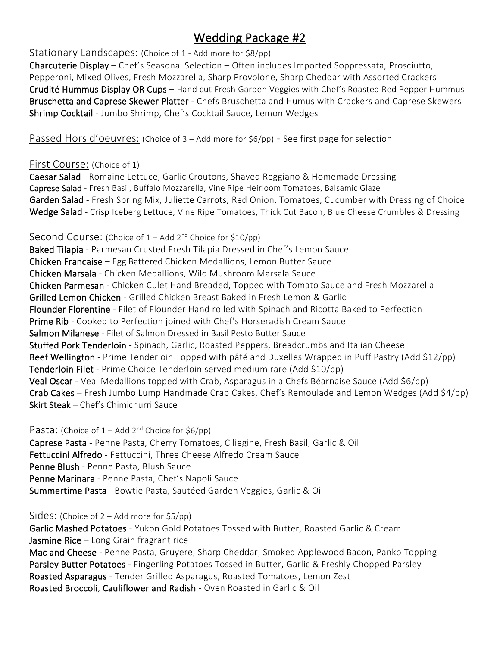# Wedding Package #2

### Stationary Landscapes: (Choice of 1 - Add more for \$8/pp)

Charcuterie Display – Chef's Seasonal Selection – Often includes Imported Soppressata, Prosciutto, Pepperoni, Mixed Olives, Fresh Mozzarella, Sharp Provolone, Sharp Cheddar with Assorted Crackers Crudité Hummus Display OR Cups - Hand cut Fresh Garden Veggies with Chef's Roasted Red Pepper Hummus Bruschetta and Caprese Skewer Platter - Chefs Bruschetta and Humus with Crackers and Caprese Skewers Shrimp Cocktail - Jumbo Shrimp, Chef's Cocktail Sauce, Lemon Wedges

Passed Hors d'oeuvres: (Choice of 3 – Add more for \$6/pp) - See first page for selection

### First Course: (Choice of 1)

Caesar Salad - Romaine Lettuce, Garlic Croutons, Shaved Reggiano & Homemade Dressing Caprese Salad - Fresh Basil, Buffalo Mozzarella, Vine Ripe Heirloom Tomatoes, Balsamic Glaze Garden Salad - Fresh Spring Mix, Juliette Carrots, Red Onion, Tomatoes, Cucumber with Dressing of Choice Wedge Salad - Crisp Iceberg Lettuce, Vine Ripe Tomatoes, Thick Cut Bacon, Blue Cheese Crumbles & Dressing

### Second Course: (Choice of  $1 -$  Add  $2^{nd}$  Choice for \$10/pp)

Baked Tilapia - Parmesan Crusted Fresh Tilapia Dressed in Chef's Lemon Sauce Chicken Francaise – Egg Battered Chicken Medallions, Lemon Butter Sauce Chicken Marsala - Chicken Medallions, Wild Mushroom Marsala Sauce Chicken Parmesan - Chicken Culet Hand Breaded, Topped with Tomato Sauce and Fresh Mozzarella Grilled Lemon Chicken - Grilled Chicken Breast Baked in Fresh Lemon & Garlic Flounder Florentine - Filet of Flounder Hand rolled with Spinach and Ricotta Baked to Perfection Prime Rib - Cooked to Perfection joined with Chef's Horseradish Cream Sauce Salmon Milanese - Filet of Salmon Dressed in Basil Pesto Butter Sauce Stuffed Pork Tenderloin - Spinach, Garlic, Roasted Peppers, Breadcrumbs and Italian Cheese Beef Wellington - Prime Tenderloin Topped with pâté and Duxelles Wrapped in Puff Pastry (Add \$12/pp) Tenderloin Filet - Prime Choice Tenderloin served medium rare (Add \$10/pp) Veal Oscar - Veal Medallions topped with Crab, Asparagus in a Chefs Béarnaise Sauce (Add \$6/pp) Crab Cakes – Fresh Jumbo Lump Handmade Crab Cakes, Chef's Remoulade and Lemon Wedges (Add \$4/pp) Skirt Steak – Chef's Chimichurri Sauce

### Pasta: (Choice of  $1 -$  Add  $2^{nd}$  Choice for \$6/pp)

Caprese Pasta - Penne Pasta, Cherry Tomatoes, Ciliegine, Fresh Basil, Garlic & Oil Fettuccini Alfredo - Fettuccini, Three Cheese Alfredo Cream Sauce Penne Blush - Penne Pasta, Blush Sauce Penne Marinara - Penne Pasta, Chef's Napoli Sauce Summertime Pasta - Bowtie Pasta, Sautéed Garden Veggies, Garlic & Oil

### Sides: (Choice of 2 – Add more for \$5/pp)

Garlic Mashed Potatoes - Yukon Gold Potatoes Tossed with Butter, Roasted Garlic & Cream **Jasmine Rice**  $-$  Long Grain fragrant rice Mac and Cheese - Penne Pasta, Gruyere, Sharp Cheddar, Smoked Applewood Bacon, Panko Topping Parsley Butter Potatoes - Fingerling Potatoes Tossed in Butter, Garlic & Freshly Chopped Parsley Roasted Asparagus - Tender Grilled Asparagus, Roasted Tomatoes, Lemon Zest Roasted Broccoli, Cauliflower and Radish - Oven Roasted in Garlic & Oil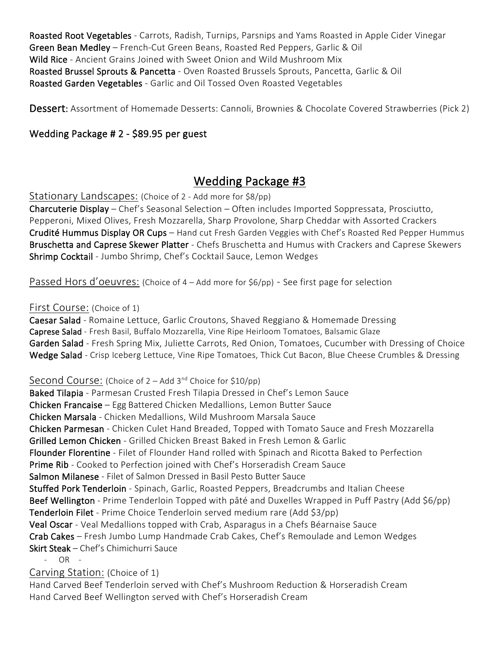Roasted Root Vegetables - Carrots, Radish, Turnips, Parsnips and Yams Roasted in Apple Cider Vinegar Green Bean Medley – French-Cut Green Beans, Roasted Red Peppers, Garlic & Oil Wild Rice - Ancient Grains Joined with Sweet Onion and Wild Mushroom Mix Roasted Brussel Sprouts & Pancetta - Oven Roasted Brussels Sprouts, Pancetta, Garlic & Oil Roasted Garden Vegetables - Garlic and Oil Tossed Oven Roasted Vegetables

Dessert: Assortment of Homemade Desserts: Cannoli, Brownies & Chocolate Covered Strawberries (Pick 2)

### Wedding Package # 2 - \$89.95 per guest

### Wedding Package #3

Stationary Landscapes: (Choice of 2 - Add more for \$8/pp)

Charcuterie Display – Chef's Seasonal Selection – Often includes Imported Soppressata, Prosciutto, Pepperoni, Mixed Olives, Fresh Mozzarella, Sharp Provolone, Sharp Cheddar with Assorted Crackers Crudité Hummus Display OR Cups – Hand cut Fresh Garden Veggies with Chef's Roasted Red Pepper Hummus Bruschetta and Caprese Skewer Platter - Chefs Bruschetta and Humus with Crackers and Caprese Skewers Shrimp Cocktail - Jumbo Shrimp, Chef's Cocktail Sauce, Lemon Wedges

Passed Hors d'oeuvres: (Choice of 4 – Add more for \$6/pp) - See first page for selection

#### First Course: (Choice of 1)

Caesar Salad - Romaine Lettuce, Garlic Croutons, Shaved Reggiano & Homemade Dressing Caprese Salad - Fresh Basil, Buffalo Mozzarella, Vine Ripe Heirloom Tomatoes, Balsamic Glaze Garden Salad - Fresh Spring Mix, Juliette Carrots, Red Onion, Tomatoes, Cucumber with Dressing of Choice Wedge Salad - Crisp Iceberg Lettuce, Vine Ripe Tomatoes, Thick Cut Bacon, Blue Cheese Crumbles & Dressing

#### Second Course: (Choice of 2 – Add 3<sup>nd</sup> Choice for \$10/pp)

Baked Tilapia - Parmesan Crusted Fresh Tilapia Dressed in Chef's Lemon Sauce Chicken Francaise – Egg Battered Chicken Medallions, Lemon Butter Sauce Chicken Marsala - Chicken Medallions, Wild Mushroom Marsala Sauce Chicken Parmesan - Chicken Culet Hand Breaded, Topped with Tomato Sauce and Fresh Mozzarella Grilled Lemon Chicken - Grilled Chicken Breast Baked in Fresh Lemon & Garlic Flounder Florentine - Filet of Flounder Hand rolled with Spinach and Ricotta Baked to Perfection Prime Rib - Cooked to Perfection joined with Chef's Horseradish Cream Sauce Salmon Milanese - Filet of Salmon Dressed in Basil Pesto Butter Sauce Stuffed Pork Tenderloin - Spinach, Garlic, Roasted Peppers, Breadcrumbs and Italian Cheese Beef Wellington - Prime Tenderloin Topped with pâté and Duxelles Wrapped in Puff Pastry (Add \$6/pp) Tenderloin Filet - Prime Choice Tenderloin served medium rare (Add \$3/pp) Veal Oscar - Veal Medallions topped with Crab, Asparagus in a Chefs Béarnaise Sauce Crab Cakes – Fresh Jumbo Lump Handmade Crab Cakes, Chef's Remoulade and Lemon Wedges Skirt Steak – Chef's Chimichurri Sauce - OR -

### Carving Station: (Choice of 1)

Hand Carved Beef Tenderloin served with Chef's Mushroom Reduction & Horseradish Cream Hand Carved Beef Wellington served with Chef's Horseradish Cream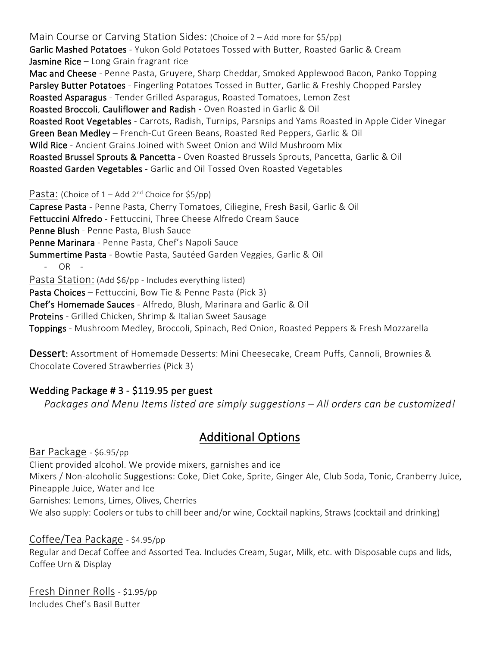Main Course or Carving Station Sides: (Choice of 2 – Add more for \$5/pp) Garlic Mashed Potatoes - Yukon Gold Potatoes Tossed with Butter, Roasted Garlic & Cream Jasmine Rice  $-$  Long Grain fragrant rice Mac and Cheese - Penne Pasta, Gruyere, Sharp Cheddar, Smoked Applewood Bacon, Panko Topping Parsley Butter Potatoes - Fingerling Potatoes Tossed in Butter, Garlic & Freshly Chopped Parsley Roasted Asparagus - Tender Grilled Asparagus, Roasted Tomatoes, Lemon Zest Roasted Broccoli, Cauliflower and Radish - Oven Roasted in Garlic & Oil Roasted Root Vegetables - Carrots, Radish, Turnips, Parsnips and Yams Roasted in Apple Cider Vinegar Green Bean Medley – French-Cut Green Beans, Roasted Red Peppers, Garlic & Oil Wild Rice - Ancient Grains Joined with Sweet Onion and Wild Mushroom Mix Roasted Brussel Sprouts & Pancetta - Oven Roasted Brussels Sprouts, Pancetta, Garlic & Oil Roasted Garden Vegetables - Garlic and Oil Tossed Oven Roasted Vegetables

Pasta: (Choice of  $1 -$ Add  $2^{nd}$  Choice for \$5/pp)

Caprese Pasta - Penne Pasta, Cherry Tomatoes, Ciliegine, Fresh Basil, Garlic & Oil Fettuccini Alfredo - Fettuccini, Three Cheese Alfredo Cream Sauce Penne Blush - Penne Pasta, Blush Sauce Penne Marinara - Penne Pasta, Chef's Napoli Sauce Summertime Pasta - Bowtie Pasta, Sautéed Garden Veggies, Garlic & Oil - OR - Pasta Station: (Add \$6/pp - Includes everything listed) Pasta Choices – Fettuccini, Bow Tie & Penne Pasta (Pick 3) Chef's Homemade Sauces - Alfredo, Blush, Marinara and Garlic & Oil Proteins - Grilled Chicken, Shrimp & Italian Sweet Sausage Toppings - Mushroom Medley, Broccoli, Spinach, Red Onion, Roasted Peppers & Fresh Mozzarella

Dessert: Assortment of Homemade Desserts: Mini Cheesecake, Cream Puffs, Cannoli, Brownies & Chocolate Covered Strawberries (Pick 3)

### Wedding Package # 3 - \$119.95 per guest

*Packages and Menu Items listed are simply suggestions – All orders can be customized!* 

### Additional Options

Bar Package - \$6.95/pp Client provided alcohol. We provide mixers, garnishes and ice Mixers / Non-alcoholic Suggestions: Coke, Diet Coke, Sprite, Ginger Ale, Club Soda, Tonic, Cranberry Juice, Pineapple Juice, Water and Ice Garnishes: Lemons, Limes, Olives, Cherries We also supply: Coolers or tubs to chill beer and/or wine, Cocktail napkins, Straws (cocktail and drinking)

### Coffee/Tea Package - \$4.95/pp Regular and Decaf Coffee and Assorted Tea. Includes Cream, Sugar, Milk, etc. with Disposable cups and lids, Coffee Urn & Display

Fresh Dinner Rolls - \$1.95/pp Includes Chef's Basil Butter